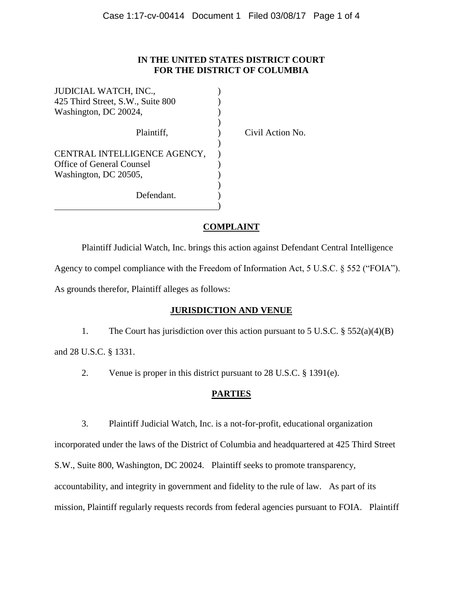### **IN THE UNITED STATES DISTRICT COURT FOR THE DISTRICT OF COLUMBIA**

| JUDICIAL WATCH, INC.,             |  |
|-----------------------------------|--|
| 425 Third Street, S.W., Suite 800 |  |
| Washington, DC 20024,             |  |
|                                   |  |
| Plaintiff,                        |  |
|                                   |  |
| CENTRAL INTELLIGENCE AGENCY,      |  |
| Office of General Counsel         |  |
| Washington, DC 20505,             |  |
|                                   |  |
| Defendant.                        |  |
|                                   |  |

Civil Action No.

# **COMPLAINT**

Plaintiff Judicial Watch, Inc. brings this action against Defendant Central Intelligence Agency to compel compliance with the Freedom of Information Act, 5 U.S.C. § 552 ("FOIA"). As grounds therefor, Plaintiff alleges as follows:

# **JURISDICTION AND VENUE**

1. The Court has jurisdiction over this action pursuant to 5 U.S.C. § 552(a)(4)(B)

and 28 U.S.C. § 1331.

2. Venue is proper in this district pursuant to 28 U.S.C. § 1391(e).

## **PARTIES**

3. Plaintiff Judicial Watch, Inc. is a not-for-profit, educational organization incorporated under the laws of the District of Columbia and headquartered at 425 Third Street

S.W., Suite 800, Washington, DC 20024. Plaintiff seeks to promote transparency,

accountability, and integrity in government and fidelity to the rule of law. As part of its

mission, Plaintiff regularly requests records from federal agencies pursuant to FOIA. Plaintiff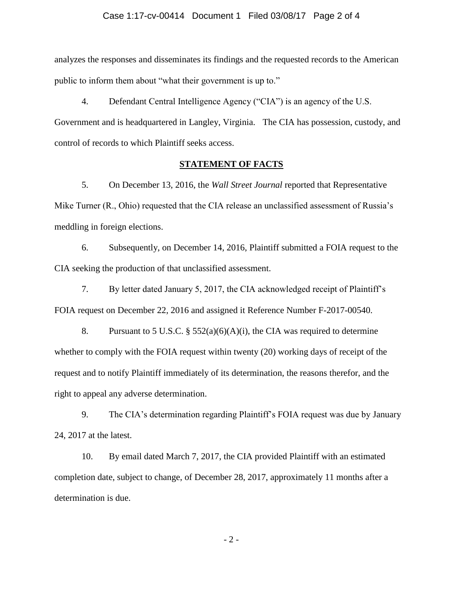#### Case 1:17-cv-00414 Document 1 Filed 03/08/17 Page 2 of 4

analyzes the responses and disseminates its findings and the requested records to the American public to inform them about "what their government is up to."

4. Defendant Central Intelligence Agency ("CIA") is an agency of the U.S. Government and is headquartered in Langley, Virginia. The CIA has possession, custody, and control of records to which Plaintiff seeks access.

#### **STATEMENT OF FACTS**

5. On December 13, 2016, the *Wall Street Journal* reported that Representative Mike Turner (R., Ohio) requested that the CIA release an unclassified assessment of Russia's meddling in foreign elections.

6. Subsequently, on December 14, 2016, Plaintiff submitted a FOIA request to the CIA seeking the production of that unclassified assessment.

7. By letter dated January 5, 2017, the CIA acknowledged receipt of Plaintiff's FOIA request on December 22, 2016 and assigned it Reference Number F-2017-00540.

8. Pursuant to 5 U.S.C.  $\S 552(a)(6)(A)(i)$ , the CIA was required to determine whether to comply with the FOIA request within twenty (20) working days of receipt of the request and to notify Plaintiff immediately of its determination, the reasons therefor, and the right to appeal any adverse determination.

9. The CIA's determination regarding Plaintiff's FOIA request was due by January 24, 2017 at the latest.

10. By email dated March 7, 2017, the CIA provided Plaintiff with an estimated completion date, subject to change, of December 28, 2017, approximately 11 months after a determination is due.

- 2 -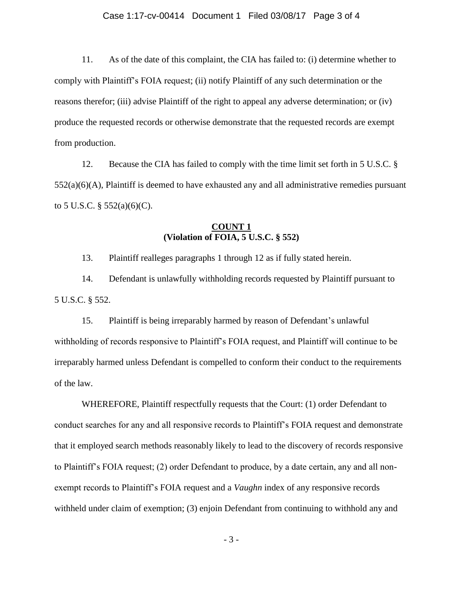#### Case 1:17-cv-00414 Document 1 Filed 03/08/17 Page 3 of 4

11. As of the date of this complaint, the CIA has failed to: (i) determine whether to comply with Plaintiff's FOIA request; (ii) notify Plaintiff of any such determination or the reasons therefor; (iii) advise Plaintiff of the right to appeal any adverse determination; or (iv) produce the requested records or otherwise demonstrate that the requested records are exempt from production.

12. Because the CIA has failed to comply with the time limit set forth in 5 U.S.C. §  $552(a)(6)(A)$ , Plaintiff is deemed to have exhausted any and all administrative remedies pursuant to 5 U.S.C.  $\S$  552(a)(6)(C).

### **COUNT 1 (Violation of FOIA, 5 U.S.C. § 552)**

13. Plaintiff realleges paragraphs 1 through 12 as if fully stated herein.

14. Defendant is unlawfully withholding records requested by Plaintiff pursuant to 5 U.S.C. § 552.

15. Plaintiff is being irreparably harmed by reason of Defendant's unlawful withholding of records responsive to Plaintiff's FOIA request, and Plaintiff will continue to be irreparably harmed unless Defendant is compelled to conform their conduct to the requirements of the law.

WHEREFORE, Plaintiff respectfully requests that the Court: (1) order Defendant to conduct searches for any and all responsive records to Plaintiff's FOIA request and demonstrate that it employed search methods reasonably likely to lead to the discovery of records responsive to Plaintiff's FOIA request; (2) order Defendant to produce, by a date certain, any and all nonexempt records to Plaintiff's FOIA request and a *Vaughn* index of any responsive records withheld under claim of exemption; (3) enjoin Defendant from continuing to withhold any and

- 3 -